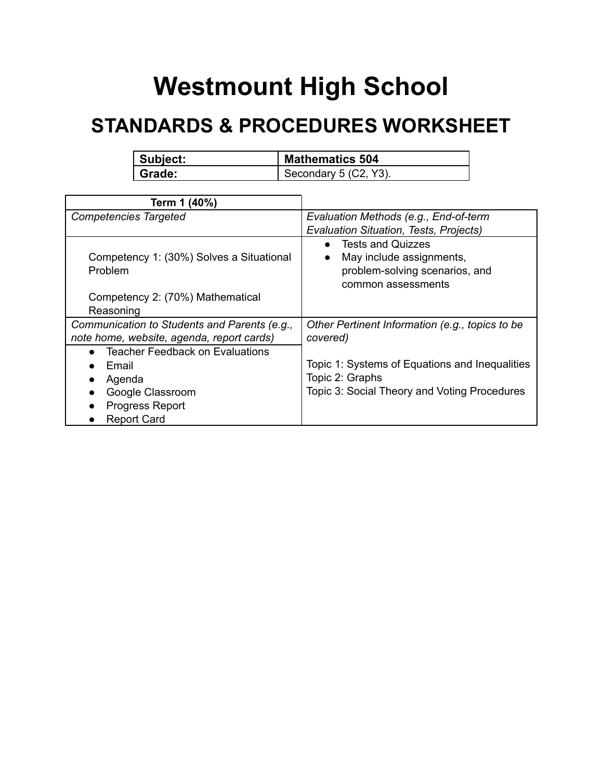## **Westmount High School**

## **STANDARDS & PROCEDURES WORKSHEET**

| Subject: | <b>Mathematics 504</b>  |
|----------|-------------------------|
| Grade:   | Secondary $5$ (C2, Y3). |

| Term 1 (40%)                                        |                                                                                                                                        |
|-----------------------------------------------------|----------------------------------------------------------------------------------------------------------------------------------------|
| <b>Competencies Targeted</b>                        | Evaluation Methods (e.g., End-of-term                                                                                                  |
|                                                     | Evaluation Situation, Tests, Projects)                                                                                                 |
| Competency 1: (30%) Solves a Situational<br>Problem | <b>Tests and Quizzes</b><br>$\bullet$<br>May include assignments,<br>$\bullet$<br>problem-solving scenarios, and<br>common assessments |
| Competency 2: (70%) Mathematical                    |                                                                                                                                        |
| Reasoning                                           |                                                                                                                                        |
| Communication to Students and Parents (e.g.,        | Other Pertinent Information (e.g., topics to be                                                                                        |
| note home, website, agenda, report cards)           | covered)                                                                                                                               |
| <b>Teacher Feedback on Evaluations</b>              |                                                                                                                                        |
| Email                                               | Topic 1: Systems of Equations and Inequalities                                                                                         |
| Agenda                                              | Topic 2: Graphs                                                                                                                        |
| Google Classroom                                    | Topic 3: Social Theory and Voting Procedures                                                                                           |
| <b>Progress Report</b>                              |                                                                                                                                        |
| <b>Report Card</b>                                  |                                                                                                                                        |